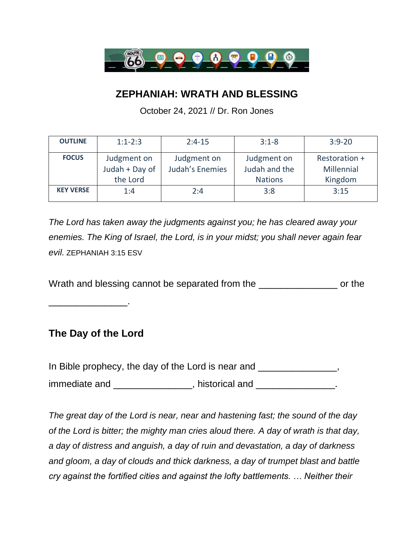

## **ZEPHANIAH: WRATH AND BLESSING**

October 24, 2021 // Dr. Ron Jones

| <b>OUTLINE</b>   | $1:1-2:3$      | $2:4-15$        | $3:1 - 8$      | $3:9 - 20$    |
|------------------|----------------|-----------------|----------------|---------------|
| <b>FOCUS</b>     | Judgment on    | Judgment on     | Judgment on    | Restoration + |
|                  | Judah + Day of | Judah's Enemies | Judah and the  | Millennial    |
|                  | the Lord       |                 | <b>Nations</b> | Kingdom       |
| <b>KEY VERSE</b> | 1:4            | 2:4             | 3:8            | 3:15          |
|                  |                |                 |                |               |

*The Lord has taken away the judgments against you; he has cleared away your enemies. The King of Israel, the Lord, is in your midst; you shall never again fear evil.* ZEPHANIAH 3:15 ESV

Wrath and blessing cannot be separated from the **EXEC SECONDEN** or the

\_\_\_\_\_\_\_\_\_\_\_\_\_\_.

## **The Day of the Lord**

In Bible prophecy, the day of the Lord is near and \_\_\_\_\_\_\_\_\_\_\_\_\_\_\_, immediate and \_\_\_\_\_\_\_\_\_\_\_\_\_\_\_, historical and \_\_\_\_\_\_\_\_\_\_\_\_\_\_\_.

*The great day of the Lord is near, near and hastening fast; the sound of the day of the Lord is bitter; the mighty man cries aloud there. A day of wrath is that day, a day of distress and anguish, a day of ruin and devastation, a day of darkness and gloom, a day of clouds and thick darkness, a day of trumpet blast and battle cry against the fortified cities and against the lofty battlements. … Neither their*